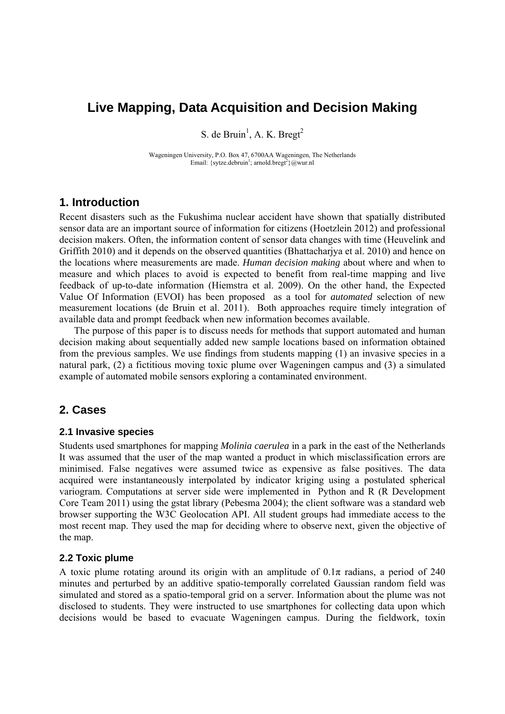# **Live Mapping, Data Acquisition and Decision Making**

S. de Bruin<sup>1</sup>, A. K. Bregt<sup>2</sup>

Wageningen University, P.O. Box 47, 6700AA Wageningen, The Netherlands Email: {sytze.debruin<sup>1</sup>; arnold.bregt<sup>2</sup>}@wur.nl

# **1. Introduction**

Recent disasters such as the Fukushima nuclear accident have shown that spatially distributed sensor data are an important source of information for citizens (Hoetzlein 2012) and professional decision makers. Often, the information content of sensor data changes with time (Heuvelink and Griffith 2010) and it depends on the observed quantities (Bhattacharjya et al. 2010) and hence on the locations where measurements are made. *Human decision making* about where and when to measure and which places to avoid is expected to benefit from real-time mapping and live feedback of up-to-date information (Hiemstra et al. 2009). On the other hand, the Expected Value Of Information (EVOI) has been proposed as a tool for *automated* selection of new measurement locations (de Bruin et al. 2011). Both approaches require timely integration of available data and prompt feedback when new information becomes available.

The purpose of this paper is to discuss needs for methods that support automated and human decision making about sequentially added new sample locations based on information obtained from the previous samples. We use findings from students mapping (1) an invasive species in a natural park, (2) a fictitious moving toxic plume over Wageningen campus and (3) a simulated example of automated mobile sensors exploring a contaminated environment.

# **2. Cases**

#### **2.1 Invasive species**

Students used smartphones for mapping *Molinia caerulea* in a park in the east of the Netherlands It was assumed that the user of the map wanted a product in which misclassification errors are minimised. False negatives were assumed twice as expensive as false positives. The data acquired were instantaneously interpolated by indicator kriging using a postulated spherical variogram. Computations at server side were implemented in Python and R (R Development Core Team 2011) using the gstat library (Pebesma 2004); the client software was a standard web browser supporting the W3C Geolocation API. All student groups had immediate access to the most recent map. They used the map for deciding where to observe next, given the objective of the map.

### **2.2 Toxic plume**

A toxic plume rotating around its origin with an amplitude of  $0.1\pi$  radians, a period of 240 minutes and perturbed by an additive spatio-temporally correlated Gaussian random field was simulated and stored as a spatio-temporal grid on a server. Information about the plume was not disclosed to students. They were instructed to use smartphones for collecting data upon which decisions would be based to evacuate Wageningen campus. During the fieldwork, toxin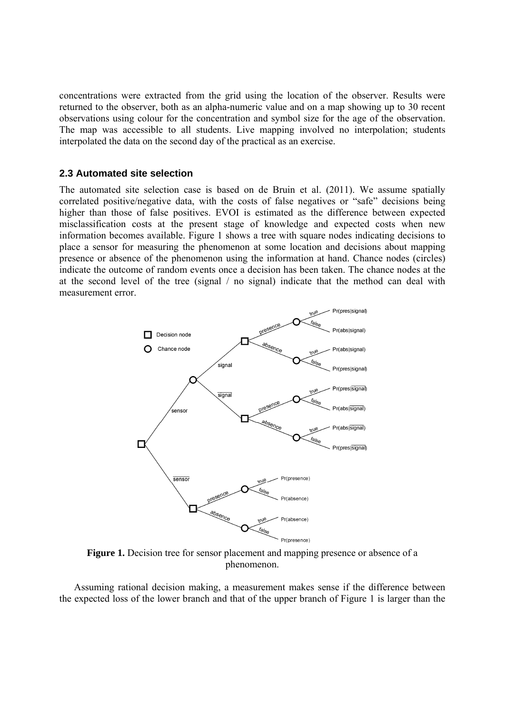concentrations were extracted from the grid using the location of the observer. Results were returned to the observer, both as an alpha-numeric value and on a map showing up to 30 recent observations using colour for the concentration and symbol size for the age of the observation. The map was accessible to all students. Live mapping involved no interpolation; students interpolated the data on the second day of the practical as an exercise.

#### **2.3 Automated site selection**

The automated site selection case is based on de Bruin et al. (2011). We assume spatially correlated positive/negative data, with the costs of false negatives or "safe" decisions being higher than those of false positives. EVOI is estimated as the difference between expected misclassification costs at the present stage of knowledge and expected costs when new information becomes available. Figure 1 shows a tree with square nodes indicating decisions to place a sensor for measuring the phenomenon at some location and decisions about mapping presence or absence of the phenomenon using the information at hand. Chance nodes (circles) indicate the outcome of random events once a decision has been taken. The chance nodes at the at the second level of the tree (signal / no signal) indicate that the method can deal with measurement error.



**Figure 1.** Decision tree for sensor placement and mapping presence or absence of a phenomenon.

Assuming rational decision making, a measurement makes sense if the difference between the expected loss of the lower branch and that of the upper branch of Figure 1 is larger than the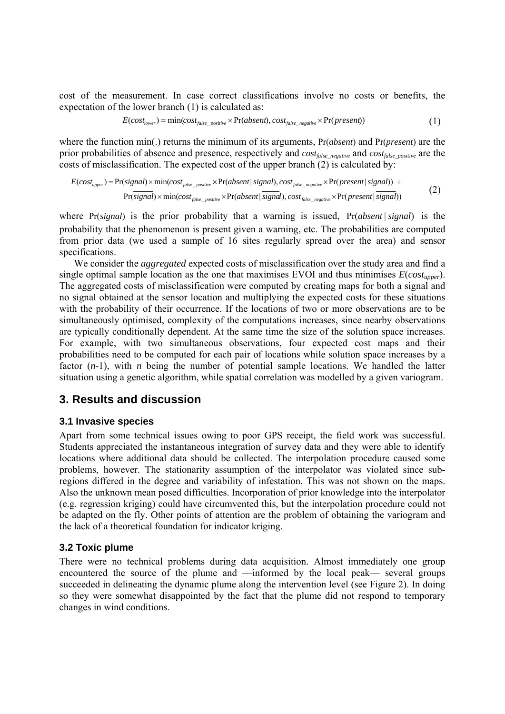cost of the measurement. In case correct classifications involve no costs or benefits, the expectation of the lower branch (1) is calculated as:

$$
E(costlower) = min(costfalse-positive × Pr(absent), costfalse-negative × Pr(present))
$$
\n(1)

where the function min(.) returns the minimum of its arguments, Pr(*absent*) and Pr(*present*) are the prior probabilities of absence and presence, respectively and *cost<sub>false\_negative</sub>* and *cost<sub>false\_positive* are the</sub> costs of misclassification. The expected cost of the upper branch  $(2)$  is calculated by:

$$
E(cost_{upper}) = \Pr(signal) \times min(cost_{false_{positive}} \times \Pr(absent | signal), cost_{false_{negative}} \times \Pr(present | signal)) + \Pr(signal) \times min(cost_{false_{positive}} \times \Pr(absent | signal), cost_{false_{negative}} \times \Pr(present | signal))
$$
(2)

where Pr(*signal*) is the prior probability that a warning is issued, Pr(*absent* | *signal*) is the probability that the phenomenon is present given a warning, etc. The probabilities are computed from prior data (we used a sample of 16 sites regularly spread over the area) and sensor specifications.

We consider the *aggregated* expected costs of misclassification over the study area and find a single optimal sample location as the one that maximises EVOI and thus minimises *E*(*costupper*). The aggregated costs of misclassification were computed by creating maps for both a signal and no signal obtained at the sensor location and multiplying the expected costs for these situations with the probability of their occurrence. If the locations of two or more observations are to be simultaneously optimised, complexity of the computations increases, since nearby observations are typically conditionally dependent. At the same time the size of the solution space increases. For example, with two simultaneous observations, four expected cost maps and their probabilities need to be computed for each pair of locations while solution space increases by a factor  $(n-1)$ , with *n* being the number of potential sample locations. We handled the latter situation using a genetic algorithm, while spatial correlation was modelled by a given variogram.

## **3. Results and discussion**

### **3.1 Invasive species**

Apart from some technical issues owing to poor GPS receipt, the field work was successful. Students appreciated the instantaneous integration of survey data and they were able to identify locations where additional data should be collected. The interpolation procedure caused some problems, however. The stationarity assumption of the interpolator was violated since subregions differed in the degree and variability of infestation. This was not shown on the maps. Also the unknown mean posed difficulties. Incorporation of prior knowledge into the interpolator (e.g. regression kriging) could have circumvented this, but the interpolation procedure could not be adapted on the fly. Other points of attention are the problem of obtaining the variogram and the lack of a theoretical foundation for indicator kriging.

### **3.2 Toxic plume**

There were no technical problems during data acquisition. Almost immediately one group encountered the source of the plume and —informed by the local peak— several groups succeeded in delineating the dynamic plume along the intervention level (see Figure 2). In doing so they were somewhat disappointed by the fact that the plume did not respond to temporary changes in wind conditions.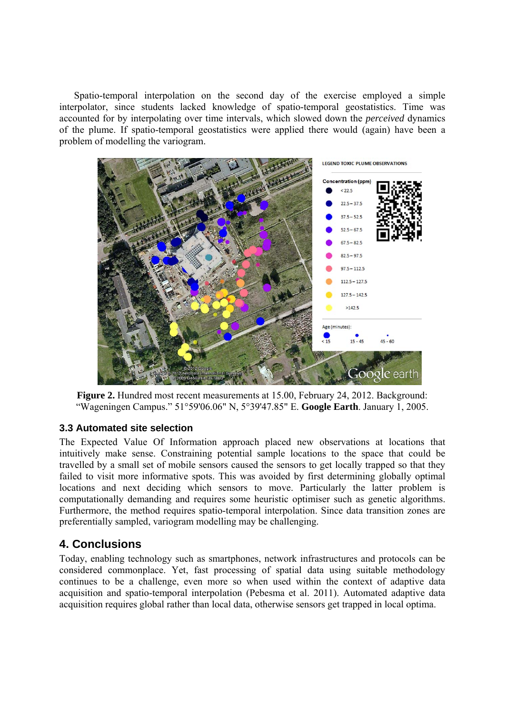Spatio-temporal interpolation on the second day of the exercise employed a simple interpolator, since students lacked knowledge of spatio-temporal geostatistics. Time was accounted for by interpolating over time intervals, which slowed down the *perceived* dynamics of the plume. If spatio-temporal geostatistics were applied there would (again) have been a problem of modelling the variogram.



**Figure 2.** Hundred most recent measurements at 15.00, February 24, 2012. Background: "Wageningen Campus." 51°59'06.06" N, 5°39'47.85" E. **Google Earth**. January 1, 2005.

## **3.3 Automated site selection**

The Expected Value Of Information approach placed new observations at locations that intuitively make sense. Constraining potential sample locations to the space that could be travelled by a small set of mobile sensors caused the sensors to get locally trapped so that they failed to visit more informative spots. This was avoided by first determining globally optimal locations and next deciding which sensors to move. Particularly the latter problem is computationally demanding and requires some heuristic optimiser such as genetic algorithms. Furthermore, the method requires spatio-temporal interpolation. Since data transition zones are preferentially sampled, variogram modelling may be challenging.

# **4. Conclusions**

Today, enabling technology such as smartphones, network infrastructures and protocols can be considered commonplace. Yet, fast processing of spatial data using suitable methodology continues to be a challenge, even more so when used within the context of adaptive data acquisition and spatio-temporal interpolation (Pebesma et al. 2011). Automated adaptive data acquisition requires global rather than local data, otherwise sensors get trapped in local optima.